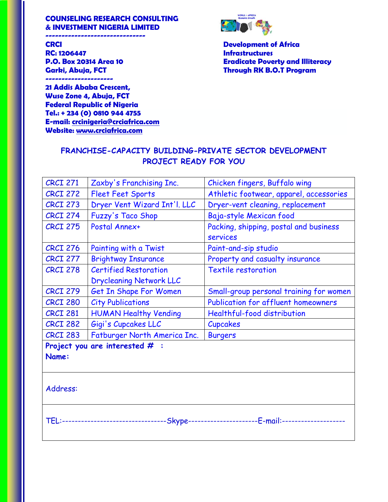### **COUNSELING RESEARCH CONSULTING & INVESTMENT NIGERIA LIMITED**

**-------------------------------**

**CRCI Development of Africa RC: 1206447** Infrastructures

**---------------------** 

**21 Addis Ababa Crescent, Wuse Zone 4, Abuja, FCT Federal Republic of Nigeria Tel.: + 234 (0) 0810 944 4755 E-mail: [crcinigeria@crciafrica.com](mailto:crcinigeria@crciafrica.com) Website: [www.crciafrica.com](http://www.crciafrica.com/)**



**P.O. Box 20314 Area 10 Eradicate Poverty and Illiteracy Garki, Abuja, FCT Through RK B.O.T Program**

| <b>CRCI 271</b> | Zaxby's Franchising Inc.         | Chicken fingers, Buffalo wing                                                         |
|-----------------|----------------------------------|---------------------------------------------------------------------------------------|
| <b>CRCI 272</b> | <b>Fleet Feet Sports</b>         | Athletic footwear, apparel, accessories                                               |
| <b>CRCI 273</b> | Dryer Vent Wizard Int'l. LLC     | Dryer-vent cleaning, replacement                                                      |
| <b>CRCI 274</b> | <b>Fuzzy's Taco Shop</b>         | Baja-style Mexican food                                                               |
| <b>CRCI 275</b> | Postal Annex+                    | Packing, shipping, postal and business                                                |
|                 |                                  | services                                                                              |
| <b>CRCI 276</b> | Painting with a Twist            | Paint-and-sip studio                                                                  |
| <b>CRCI 277</b> | <b>Brightway Insurance</b>       | Property and casualty insurance                                                       |
| <b>CRCI 278</b> | <b>Certified Restoration</b>     | <b>Textile restoration</b>                                                            |
|                 | <b>Drycleaning Network LLC</b>   |                                                                                       |
| <b>CRCI 279</b> | Get In Shape For Women           | Small-group personal training for women                                               |
| <b>CRCI 280</b> | <b>City Publications</b>         | Publication for affluent homeowners                                                   |
| <b>CRCI 281</b> | <b>HUMAN Healthy Vending</b>     | Healthful-food distribution                                                           |
| <b>CRCI 282</b> | Gigi's Cupcakes LLC              | <b>Cupcakes</b>                                                                       |
| <b>CRCI 283</b> | Fatburger North America Inc.     | <b>Burgers</b>                                                                        |
|                 | Project you are interested $#$ : |                                                                                       |
| Name:           |                                  |                                                                                       |
|                 |                                  |                                                                                       |
|                 |                                  |                                                                                       |
| Address:        |                                  |                                                                                       |
|                 |                                  |                                                                                       |
|                 |                                  |                                                                                       |
|                 |                                  | TEL:-------------------------------Skype---------------------E-mail:----------------- |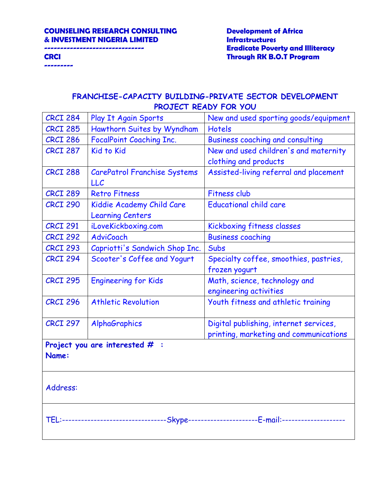**---------**

# **------------------------------- Eradicate Poverty and Illiteracy CRCI Through RK B.O.T Program**

| <b>CRCI 284</b>                                                                         | Play It Again Sports                | New and used sporting goods/equipment   |
|-----------------------------------------------------------------------------------------|-------------------------------------|-----------------------------------------|
| <b>CRCI 285</b>                                                                         | Hawthorn Suites by Wyndham          | <b>Hotels</b>                           |
| <b>CRCI 286</b>                                                                         | <b>FocalPoint Coaching Inc.</b>     | <b>Business coaching and consulting</b> |
| <b>CRCI 287</b>                                                                         | <b>Kid to Kid</b>                   | New and used children's and maternity   |
|                                                                                         |                                     | clothing and products                   |
| <b>CRCI 288</b>                                                                         | <b>CarePatrol Franchise Systems</b> | Assisted-living referral and placement  |
|                                                                                         | LLC                                 |                                         |
| <b>CRCI 289</b>                                                                         | <b>Retro Fitness</b>                | <b>Fitness club</b>                     |
| <b>CRCI 290</b>                                                                         | Kiddie Academy Child Care           | <b>Educational child care</b>           |
|                                                                                         | <b>Learning Centers</b>             |                                         |
| <b>CRCI 291</b>                                                                         | iLoveKickboxing.com                 | Kickboxing fitness classes              |
| <b>CRCI 292</b>                                                                         | <b>AdviCoach</b>                    | <b>Business coaching</b>                |
| <b>CRCI 293</b>                                                                         | Capriotti's Sandwich Shop Inc.      | Subs                                    |
| <b>CRCI 294</b>                                                                         | Scooter's Coffee and Yogurt         | Specialty coffee, smoothies, pastries,  |
|                                                                                         |                                     | frozen yogurt                           |
| <b>CRCI 295</b>                                                                         | <b>Engineering for Kids</b>         | Math, science, technology and           |
|                                                                                         |                                     | engineering activities                  |
| <b>CRCI 296</b>                                                                         | <b>Athletic Revolution</b>          | Youth fitness and athletic training     |
|                                                                                         |                                     |                                         |
| <b>CRCI 297</b>                                                                         | AlphaGraphics                       | Digital publishing, internet services,  |
|                                                                                         |                                     | printing, marketing and communications  |
|                                                                                         | Project you are interested $#$ :    |                                         |
| Name:                                                                                   |                                     |                                         |
|                                                                                         |                                     |                                         |
|                                                                                         |                                     |                                         |
| Address:                                                                                |                                     |                                         |
|                                                                                         |                                     |                                         |
|                                                                                         |                                     |                                         |
| TEL:-------------------------------Skype----------------------E-mail:------------------ |                                     |                                         |
|                                                                                         |                                     |                                         |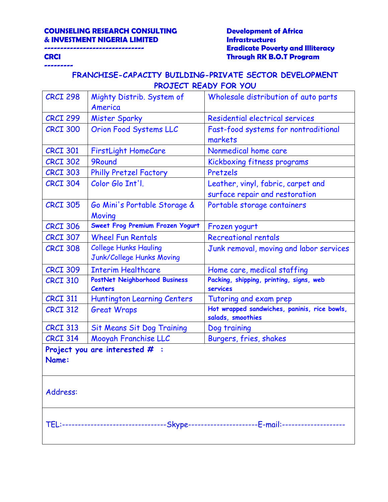**---------**

# **------------------------------- Eradicate Poverty and Illiteracy CRCI Through RK B.O.T Program**

| <b>CRCI 298</b> | Mighty Distrib. System of                       | Wholesale distribution of auto parts                                                   |
|-----------------|-------------------------------------------------|----------------------------------------------------------------------------------------|
|                 | America                                         |                                                                                        |
| <b>CRCI 299</b> | <b>Mister Sparky</b>                            | Residential electrical services                                                        |
| <b>CRCI 300</b> | Orion Food Systems LLC                          | Fast-food systems for nontraditional<br>markets                                        |
| <b>CRCI 301</b> | <b>FirstLight HomeCare</b>                      | Nonmedical home care                                                                   |
| <b>CRCI 302</b> | 9Round                                          | Kickboxing fitness programs                                                            |
| <b>CRCI 303</b> | <b>Philly Pretzel Factory</b>                   | Pretzels                                                                               |
| <b>CRCI 304</b> | Color Glo Int'l.                                | Leather, vinyl, fabric, carpet and                                                     |
|                 |                                                 | surface repair and restoration                                                         |
| <b>CRCI 305</b> | Go Mini's Portable Storage &<br>Moving          | Portable storage containers                                                            |
| <b>CRCI 306</b> | Sweet Frog Premium Frozen Yogurt                | Frozen yogurt                                                                          |
| <b>CRCI 307</b> | <b>Wheel Fun Rentals</b>                        | <b>Recreational rentals</b>                                                            |
| <b>CRCI 308</b> | <b>College Hunks Hauling</b>                    | Junk removal, moving and labor services                                                |
|                 | Junk/College Hunks Moving                       |                                                                                        |
| <b>CRCI 309</b> | <b>Interim Healthcare</b>                       | Home care, medical staffing                                                            |
| <b>CRCI 310</b> | PostNet Neighborhood Business<br><b>Centers</b> | Packing, shipping, printing, signs, web<br>services                                    |
| <b>CRCI 311</b> | <b>Huntington Learning Centers</b>              | Tutoring and exam prep                                                                 |
| <b>CRCI 312</b> | <b>Great Wraps</b>                              | Hot wrapped sandwiches, paninis, rice bowls,<br>salads, smoothies                      |
| <b>CRCI 313</b> | <b>Sit Means Sit Dog Training</b>               | Dog training                                                                           |
| <b>CRCI 314</b> | Mooyah Franchise LLC                            | Burgers, fries, shakes                                                                 |
|                 | Project you are interested $#$ :                |                                                                                        |
| Name:           |                                                 |                                                                                        |
|                 |                                                 |                                                                                        |
| Address:        |                                                 |                                                                                        |
|                 |                                                 |                                                                                        |
|                 |                                                 |                                                                                        |
|                 |                                                 | TEL:--------------------------------Skype----------------------E-mail:---------------- |
|                 |                                                 |                                                                                        |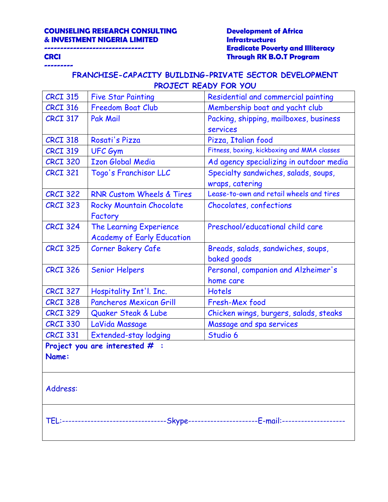**---------**

# **------------------------------- Eradicate Poverty and Illiteracy CRCI Through RK B.O.T Program**

| <b>CRCI 315</b>                                                                         | <b>Five Star Painting</b>            | Residential and commercial painting         |
|-----------------------------------------------------------------------------------------|--------------------------------------|---------------------------------------------|
| <b>CRCI 316</b>                                                                         | <b>Freedom Boat Club</b>             | Membership boat and yacht club              |
| <b>CRCI 317</b>                                                                         | <b>Pak Mail</b>                      | Packing, shipping, mailboxes, business      |
|                                                                                         |                                      | <b>services</b>                             |
| <b>CRCI 318</b>                                                                         | Rosati's Pizza                       | Pizza, Italian food                         |
| <b>CRCI 319</b>                                                                         | <b>UFC Gym</b>                       | Fitness, boxing, kickboxing and MMA classes |
| <b>CRCI 320</b>                                                                         | <b>Izon Global Media</b>             | Ad agency specializing in outdoor media     |
| <b>CRCI 321</b>                                                                         | Togo's Franchisor LLC                | Specialty sandwiches, salads, soups,        |
|                                                                                         |                                      | wraps, catering                             |
| <b>CRCI 322</b>                                                                         | <b>RNR Custom Wheels &amp; Tires</b> | Lease-to-own and retail wheels and tires    |
| <b>CRCI 323</b>                                                                         | Rocky Mountain Chocolate             | Chocolates, confections                     |
|                                                                                         | Factory                              |                                             |
| <b>CRCI 324</b>                                                                         | The Learning Experience              | Preschool/educational child care            |
|                                                                                         | <b>Academy of Early Education</b>    |                                             |
| <b>CRCI 325</b>                                                                         | <b>Corner Bakery Cafe</b>            | Breads, salads, sandwiches, soups,          |
|                                                                                         |                                      | baked goods                                 |
| <b>CRCI 326</b>                                                                         | <b>Senior Helpers</b>                | Personal, companion and Alzheimer's         |
|                                                                                         |                                      | home care                                   |
| <b>CRCI 327</b>                                                                         | Hospitality Int'l. Inc.              | <b>Hotels</b>                               |
| <b>CRCI 328</b>                                                                         | Pancheros Mexican Grill              | Fresh-Mex food                              |
| <b>CRCI 329</b>                                                                         | Quaker Steak & Lube                  | Chicken wings, burgers, salads, steaks      |
| <b>CRCI 330</b>                                                                         | LaVida Massage                       | Massage and spa services                    |
| <b>CRCI 331</b>                                                                         | <b>Extended-stay lodging</b>         | Studio 6                                    |
|                                                                                         | Project you are interested $#$ :     |                                             |
| Name:                                                                                   |                                      |                                             |
|                                                                                         |                                      |                                             |
|                                                                                         |                                      |                                             |
| Address:                                                                                |                                      |                                             |
|                                                                                         |                                      |                                             |
|                                                                                         |                                      |                                             |
| TEL:--------------------------------Skype---------------------E-mail:------------------ |                                      |                                             |
|                                                                                         |                                      |                                             |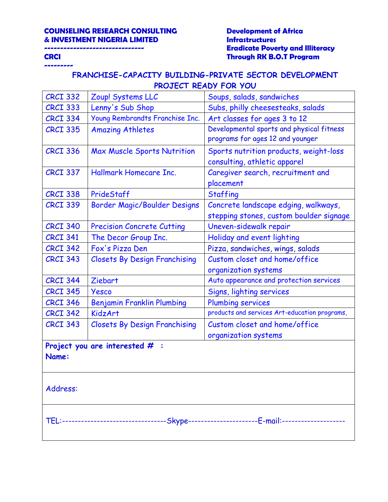**---------**

# **------------------------------- Eradicate Poverty and Illiteracy CRCI Through RK B.O.T Program**

| <b>CRCI 332</b>                                                                           | Zoup! Systems LLC                    | Soups, salads, sandwiches                     |
|-------------------------------------------------------------------------------------------|--------------------------------------|-----------------------------------------------|
| <b>CRCI 333</b>                                                                           | Lenny's Sub Shop                     | Subs, philly cheesesteaks, salads             |
| <b>CRCI 334</b>                                                                           | Young Rembrandts Franchise Inc.      | Art classes for ages 3 to 12                  |
| <b>CRCI 335</b>                                                                           | <b>Amazing Athletes</b>              | Developmental sports and physical fitness     |
|                                                                                           |                                      | programs for ages 12 and younger              |
| <b>CRCI 336</b>                                                                           | Max Muscle Sports Nutrition          | Sports nutrition products, weight-loss        |
|                                                                                           |                                      | consulting, athletic apparel                  |
| <b>CRCI 337</b>                                                                           | Hallmark Homecare Inc.               | Caregiver search, recruitment and             |
|                                                                                           |                                      | placement                                     |
| <b>CRCI 338</b>                                                                           | PrideStaff                           | <b>Staffing</b>                               |
| <b>CRCI 339</b>                                                                           | Border Magic/Boulder Designs         | Concrete landscape edging, walkways,          |
|                                                                                           |                                      | stepping stones, custom boulder signage       |
| <b>CRCI 340</b>                                                                           | <b>Precision Concrete Cutting</b>    | Uneven-sidewalk repair                        |
| <b>CRCI 341</b>                                                                           | The Decor Group Inc.                 | Holiday and event lighting                    |
| <b>CRCI 342</b>                                                                           | Fox's Pizza Den                      | Pizza, sandwiches, wings, salads              |
| <b>CRCI 343</b>                                                                           | <b>Closets By Design Franchising</b> | Custom closet and home/office                 |
|                                                                                           |                                      | organization systems                          |
| <b>CRCI 344</b>                                                                           | Ziebart                              | Auto appearance and protection services       |
| <b>CRCI 345</b>                                                                           | Yesco                                | Signs, lighting services                      |
| <b>CRCI 346</b>                                                                           | <b>Benjamin Franklin Plumbing</b>    | <b>Plumbing services</b>                      |
| <b>CRCI 342</b>                                                                           | <b>KidzArt</b>                       | products and services Art-education programs, |
| <b>CRCI 343</b>                                                                           | <b>Closets By Design Franchising</b> | Custom closet and home/office                 |
|                                                                                           |                                      | organization systems                          |
|                                                                                           | Project you are interested $#$ :     |                                               |
| Name:                                                                                     |                                      |                                               |
|                                                                                           |                                      |                                               |
|                                                                                           |                                      |                                               |
| Address:                                                                                  |                                      |                                               |
|                                                                                           |                                      |                                               |
|                                                                                           |                                      |                                               |
| TEL:--------------------------------Skype----------------------E-mail:------------------- |                                      |                                               |
|                                                                                           |                                      |                                               |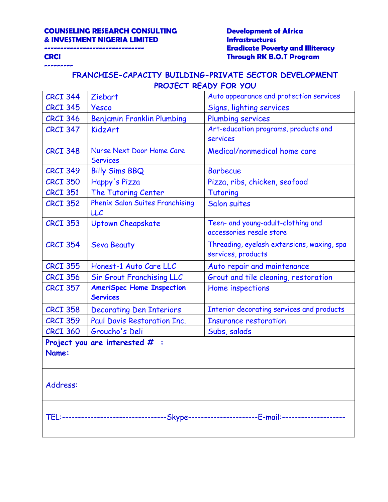**---------**

# **------------------------------- Eradicate Poverty and Illiteracy CRCI Through RK B.O.T Program**

| <b>CRCI 344</b> | Ziebart                                             | Auto appearance and protection services                                             |
|-----------------|-----------------------------------------------------|-------------------------------------------------------------------------------------|
| <b>CRCI 345</b> | Yesco                                               | Signs, lighting services                                                            |
| <b>CRCI 346</b> | <b>Benjamin Franklin Plumbing</b>                   | <b>Plumbing services</b>                                                            |
| <b>CRCI 347</b> | <b>KidzArt</b>                                      | Art-education programs, products and                                                |
|                 |                                                     | services                                                                            |
| <b>CRCI 348</b> | Nurse Next Door Home Care                           | Medical/nonmedical home care                                                        |
|                 | <b>Services</b>                                     |                                                                                     |
| <b>CRCI 349</b> | <b>Billy Sims BBQ</b>                               | <b>Barbecue</b>                                                                     |
| <b>CRCI 350</b> | Happy's Pizza                                       | Pizza, ribs, chicken, seafood                                                       |
| <b>CRCI 351</b> | The Tutoring Center                                 | Tutoring                                                                            |
| <b>CRCI 352</b> | <b>Phenix Salon Suites Franchising</b>              | Salon suites                                                                        |
|                 | LLC                                                 |                                                                                     |
| <b>CRCI 353</b> | <b>Uptown Cheapskate</b>                            | Teen- and young-adult-clothing and<br>accessories resale store                      |
|                 |                                                     |                                                                                     |
| <b>CRCI 354</b> | <b>Seva Beauty</b>                                  | Threading, eyelash extensions, waxing, spa<br>services, products                    |
|                 |                                                     |                                                                                     |
| <b>CRCI 355</b> | Honest-1 Auto Care LLC                              | Auto repair and maintenance                                                         |
| <b>CRCI 356</b> | <b>Sir Grout Franchising LLC</b>                    | Grout and tile cleaning, restoration                                                |
| <b>CRCI 357</b> | <b>AmeriSpec Home Inspection</b><br><b>Services</b> | Home inspections                                                                    |
| <b>CRCI 358</b> | <b>Decorating Den Interiors</b>                     | Interior decorating services and products                                           |
| <b>CRCI 359</b> | Paul Davis Restoration Inc.                         | <b>Insurance restoration</b>                                                        |
| <b>CRCI 360</b> | Groucho's Deli                                      | Subs, salads                                                                        |
|                 | Project you are interested $#$ :                    |                                                                                     |
| Name:           |                                                     |                                                                                     |
|                 |                                                     |                                                                                     |
|                 |                                                     |                                                                                     |
| Address:        |                                                     |                                                                                     |
|                 |                                                     |                                                                                     |
|                 |                                                     |                                                                                     |
|                 |                                                     | TEL:--------------------------------Skype---------------------E-mail:-------------- |
|                 |                                                     |                                                                                     |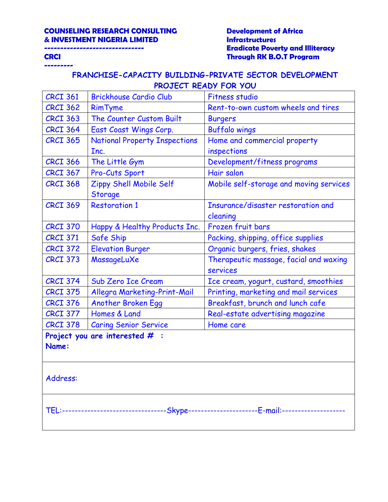**---------**

# **------------------------------- Eradicate Poverty and Illiteracy CRCI Through RK B.O.T Program**

| <b>CRCI 361</b> | <b>Brickhouse Cardio Club</b>             | <b>Fitness studio</b>                                                              |
|-----------------|-------------------------------------------|------------------------------------------------------------------------------------|
| <b>CRCI 362</b> | <b>RimTyme</b>                            | Rent-to-own custom wheels and tires                                                |
| <b>CRCI 363</b> | The Counter Custom Built                  | <b>Burgers</b>                                                                     |
| <b>CRCI 364</b> | East Coast Wings Corp.                    | <b>Buffalo wings</b>                                                               |
| <b>CRCI 365</b> | <b>National Property Inspections</b>      | Home and commercial property                                                       |
|                 | Inc.                                      | inspections                                                                        |
| <b>CRCI 366</b> | The Little Gym                            | Development/fitness programs                                                       |
| <b>CRCI 367</b> | Pro-Cuts Sport                            | Hair salon                                                                         |
| <b>CRCI 368</b> | Zippy Shell Mobile Self<br><b>Storage</b> | Mobile self-storage and moving services                                            |
| <b>CRCI 369</b> | <b>Restoration 1</b>                      | Insurance/disaster restoration and                                                 |
|                 |                                           | cleaning                                                                           |
| <b>CRCI 370</b> | Happy & Healthy Products Inc.             | Frozen fruit bars                                                                  |
| <b>CRCI 371</b> | Safe Ship                                 | Packing, shipping, office supplies                                                 |
| <b>CRCI 372</b> | <b>Elevation Burger</b>                   | Organic burgers, fries, shakes                                                     |
| <b>CRCI 373</b> | MassageLuXe                               | Therapeutic massage, facial and waxing                                             |
|                 |                                           | services                                                                           |
| <b>CRCI 374</b> | Sub Zero Ice Cream                        | Ice cream, yogurt, custard, smoothies                                              |
| <b>CRCI 375</b> | Allegra Marketing-Print-Mail              | Printing, marketing and mail services                                              |
| <b>CRCI 376</b> | Another Broken Egg                        | Breakfast, brunch and lunch cafe                                                   |
| <b>CRCI 377</b> | Homes & Land                              | Real-estate advertising magazine                                                   |
| <b>CRCI 378</b> | <b>Caring Senior Service</b>              | Home care                                                                          |
| Name:           | Project you are interested $#$ :          |                                                                                    |
| Address:        |                                           |                                                                                    |
|                 |                                           | TEL:-------------------------------Skype---------------------E-mail:-------------- |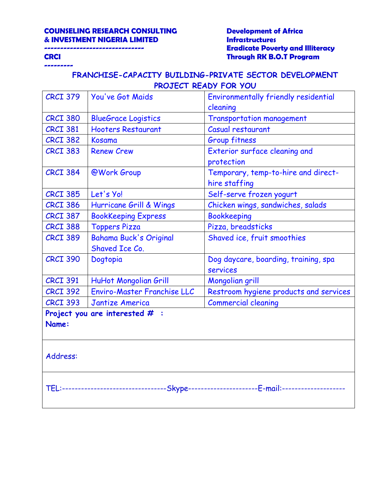**---------**

# **------------------------------- Eradicate Poverty and Illiteracy CRCI Through RK B.O.T Program**

| <b>CRCI 379</b> | You've Got Maids                 | Environmentally friendly residential                                               |
|-----------------|----------------------------------|------------------------------------------------------------------------------------|
|                 |                                  | cleaning                                                                           |
| <b>CRCI 380</b> | <b>BlueGrace Logistics</b>       | <b>Transportation management</b>                                                   |
| <b>CRCI 381</b> | <b>Hooters Restaurant</b>        | Casual restaurant                                                                  |
| <b>CRCI 382</b> | Kosama                           | <b>Group fitness</b>                                                               |
| <b>CRCI 383</b> | <b>Renew Crew</b>                | Exterior surface cleaning and                                                      |
|                 |                                  | protection                                                                         |
| <b>CRCI 384</b> | @Work Group                      | Temporary, temp-to-hire and direct-                                                |
|                 |                                  | hire staffing                                                                      |
| <b>CRCI 385</b> | Let's Yo!                        | Self-serve frozen yogurt                                                           |
| <b>CRCI 386</b> | Hurricane Grill & Wings          | Chicken wings, sandwiches, salads                                                  |
| <b>CRCI 387</b> | <b>BookKeeping Express</b>       | <b>Bookkeeping</b>                                                                 |
| <b>CRCI 388</b> | <b>Toppers Pizza</b>             | Pizza, breadsticks                                                                 |
| <b>CRCI 389</b> | <b>Bahama Buck's Original</b>    | Shaved ice, fruit smoothies                                                        |
|                 | Shaved Ice Co.                   |                                                                                    |
| <b>CRCI 390</b> | Dogtopia                         | Dog daycare, boarding, training, spa                                               |
|                 |                                  | services                                                                           |
| <b>CRCI 391</b> | HuHot Mongolian Grill            | Mongolian grill                                                                    |
| <b>CRCI 392</b> | Enviro-Master Franchise LLC      | Restroom hygiene products and services                                             |
| <b>CRCI 393</b> | <b>Jantize America</b>           | <b>Commercial cleaning</b>                                                         |
|                 | Project you are interested $#$ : |                                                                                    |
| Name:           |                                  |                                                                                    |
|                 |                                  |                                                                                    |
|                 |                                  |                                                                                    |
| Address:        |                                  |                                                                                    |
|                 |                                  |                                                                                    |
|                 |                                  |                                                                                    |
|                 |                                  | TEL:-------------------------------Skype---------------------E-mail:-------------- |
|                 |                                  |                                                                                    |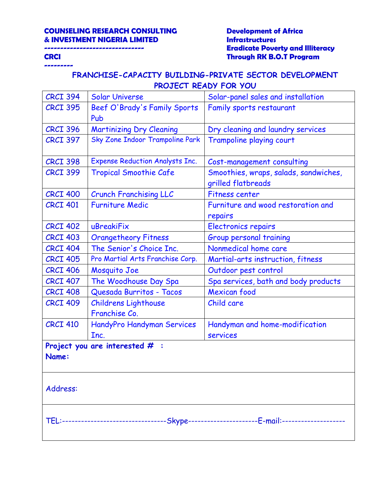**---------**

# **------------------------------- Eradicate Poverty and Illiteracy CRCI Through RK B.O.T Program**

| <b>CRCI 394</b> | <b>Solar Universe</b>                  | Solar-panel sales and installation                                                      |
|-----------------|----------------------------------------|-----------------------------------------------------------------------------------------|
| <b>CRCI 395</b> | Beef O'Brady's Family Sports<br>Pub    | Family sports restaurant                                                                |
| <b>CRCI 396</b> | <b>Martinizing Dry Cleaning</b>        | Dry cleaning and laundry services                                                       |
| <b>CRCI 397</b> | Sky Zone Indoor Trampoline Park        | Trampoline playing court                                                                |
| <b>CRCI 398</b> | <b>Expense Reduction Analysts Inc.</b> | Cost-management consulting                                                              |
| <b>CRCI 399</b> | <b>Tropical Smoothie Cafe</b>          | Smoothies, wraps, salads, sandwiches,<br>grilled flatbreads                             |
| <b>CRCI 400</b> | <b>Crunch Franchising LLC</b>          | <b>Fitness center</b>                                                                   |
| <b>CRCI 401</b> | <b>Furniture Medic</b>                 | Furniture and wood restoration and<br>repairs                                           |
| <b>CRCI 402</b> | uBreakiFix                             | <b>Electronics repairs</b>                                                              |
| <b>CRCI 403</b> | <b>Orangetheory Fitness</b>            | Group personal training                                                                 |
| <b>CRCI 404</b> | The Senior's Choice Inc.               | Nonmedical home care                                                                    |
| <b>CRCI 405</b> | Pro Martial Arts Franchise Corp.       | Martial-arts instruction, fitness                                                       |
| <b>CRCI 406</b> | Mosquito Joe                           | Outdoor pest control                                                                    |
| <b>CRCI 407</b> | The Woodhouse Day Spa                  | Spa services, bath and body products                                                    |
| <b>CRCI 408</b> | Quesada Burritos - Tacos               | Mexican food                                                                            |
| <b>CRCI 409</b> | Childrens Lighthouse<br>Franchise Co.  | Child care                                                                              |
| <b>CRCI 410</b> | HandyPro Handyman Services<br>Inc.     | Handyman and home-modification<br>services                                              |
| Name:           | Project you are interested $#$ :       |                                                                                         |
| Address:        |                                        |                                                                                         |
|                 |                                        | TEL:--------------------------------Skype---------------------E-mail:------------------ |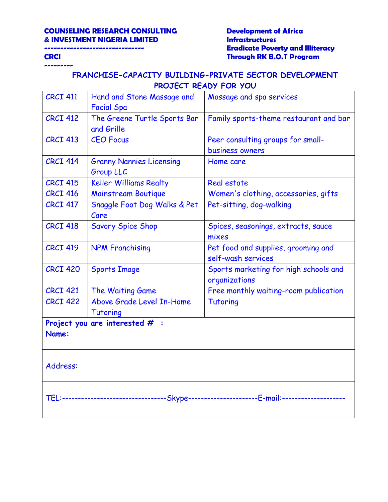**---------**

# **------------------------------- Eradicate Poverty and Illiteracy CRCI Through RK B.O.T Program**

| <b>CRCI 411</b> | Hand and Stone Massage and<br><b>Facial Spa</b>     | Massage and spa services                                                                |
|-----------------|-----------------------------------------------------|-----------------------------------------------------------------------------------------|
| <b>CRCI 412</b> | The Greene Turtle Sports Bar<br>and Grille          | Family sports-theme restaurant and bar                                                  |
| <b>CRCI 413</b> | <b>CEO Focus</b>                                    | Peer consulting groups for small-<br>business owners                                    |
| <b>CRCI 414</b> | <b>Granny Nannies Licensing</b><br><b>Group LLC</b> | Home care                                                                               |
| <b>CRCI 415</b> | <b>Keller Williams Realty</b>                       | Real estate                                                                             |
| <b>CRCI 416</b> | <b>Mainstream Boutique</b>                          | Women's clothing, accessories, gifts                                                    |
| <b>CRCI 417</b> | Snaggle Foot Dog Walks & Pet<br>Care                | Pet-sitting, dog-walking                                                                |
| <b>CRCI 418</b> | <b>Savory Spice Shop</b>                            | Spices, seasonings, extracts, sauce<br>mixes                                            |
| <b>CRCI 419</b> | <b>NPM Franchising</b>                              | Pet food and supplies, grooming and<br>self-wash services                               |
| <b>CRCI 420</b> | <b>Sports Image</b>                                 | Sports marketing for high schools and<br>organizations                                  |
| <b>CRCI 421</b> | The Waiting Game                                    | Free monthly waiting-room publication                                                   |
| <b>CRCI 422</b> | Above Grade Level In-Home<br><b>Tutoring</b>        | <b>Tutoring</b>                                                                         |
|                 | Project you are interested $#$ :                    |                                                                                         |
| Name:           |                                                     |                                                                                         |
| Address:        |                                                     |                                                                                         |
|                 |                                                     | TEL:-------------------------------Skype----------------------E-mail:------------------ |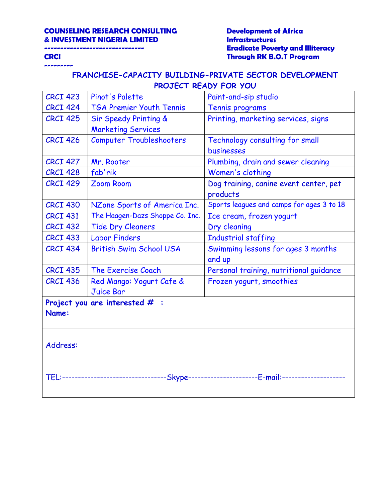**---------**

# **------------------------------- Eradicate Poverty and Illiteracy CRCI Through RK B.O.T Program**

| <b>CRCI 423</b> | Pinot's Palette                  | Paint-and-sip studio                                                                     |
|-----------------|----------------------------------|------------------------------------------------------------------------------------------|
| <b>CRCI 424</b> | <b>TGA Premier Youth Tennis</b>  | Tennis programs                                                                          |
| <b>CRCI 425</b> | Sir Speedy Printing &            | Printing, marketing services, signs                                                      |
|                 | <b>Marketing Services</b>        |                                                                                          |
| <b>CRCI 426</b> | <b>Computer Troubleshooters</b>  | Technology consulting for small                                                          |
|                 |                                  | businesses                                                                               |
| <b>CRCI 427</b> | Mr. Rooter                       | Plumbing, drain and sewer cleaning                                                       |
| <b>CRCI 428</b> | fab'rik                          | Women's clothing                                                                         |
| <b>CRCI 429</b> | <b>Zoom Room</b>                 | Dog training, canine event center, pet                                                   |
|                 |                                  | products                                                                                 |
| <b>CRCI 430</b> | NZone Sports of America Inc.     | Sports leagues and camps for ages 3 to 18                                                |
| <b>CRCI 431</b> | The Haagen-Dazs Shoppe Co. Inc.  | Ice cream, frozen yogurt                                                                 |
| <b>CRCI 432</b> | <b>Tide Dry Cleaners</b>         | Dry cleaning                                                                             |
| <b>CRCI 433</b> | <b>Labor Finders</b>             | <b>Industrial staffing</b>                                                               |
| <b>CRCI 434</b> | <b>British Swim School USA</b>   | Swimming lessons for ages 3 months                                                       |
|                 |                                  | and up                                                                                   |
| <b>CRCI 435</b> | The Exercise Coach               | Personal training, nutritional guidance                                                  |
| <b>CRCI 436</b> | Red Mango: Yogurt Cafe &         | Frozen yogurt, smoothies                                                                 |
|                 | <b>Juice Bar</b>                 |                                                                                          |
|                 | Project you are interested $#$ : |                                                                                          |
| Name:           |                                  |                                                                                          |
|                 |                                  |                                                                                          |
|                 |                                  |                                                                                          |
| Address:        |                                  |                                                                                          |
|                 |                                  |                                                                                          |
|                 |                                  |                                                                                          |
|                 |                                  | TEL:--------------------------------Skype----------------------E-mail:------------------ |
|                 |                                  |                                                                                          |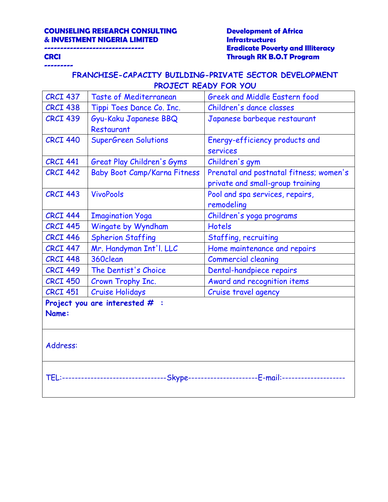**---------**

# **------------------------------- Eradicate Poverty and Illiteracy CRCI Through RK B.O.T Program**

| <b>CRCI 437</b>                                                                         | <b>Taste of Mediterranean</b>       | <b>Greek and Middle Eastern food</b>    |  |
|-----------------------------------------------------------------------------------------|-------------------------------------|-----------------------------------------|--|
| <b>CRCI 438</b>                                                                         | Tippi Toes Dance Co. Inc.           | Children's dance classes                |  |
| <b>CRCI 439</b>                                                                         | Gyu-Kaku Japanese BBQ               | Japanese barbeque restaurant            |  |
|                                                                                         | Restaurant                          |                                         |  |
| <b>CRCI 440</b>                                                                         | <b>SuperGreen Solutions</b>         | Energy-efficiency products and          |  |
|                                                                                         |                                     | <b>services</b>                         |  |
| <b>CRCI 441</b>                                                                         | Great Play Children's Gyms          | Children's gym                          |  |
| <b>CRCI 442</b>                                                                         | <b>Baby Boot Camp/Karna Fitness</b> | Prenatal and postnatal fitness; women's |  |
|                                                                                         |                                     | private and small-group training        |  |
| <b>CRCI 443</b>                                                                         | <b>VivoPools</b>                    | Pool and spa services, repairs,         |  |
|                                                                                         |                                     | remodeling                              |  |
| <b>CRCI 444</b>                                                                         | <b>Imagination Yoga</b>             | Children's yoga programs                |  |
| <b>CRCI 445</b>                                                                         | Wingate by Wyndham                  | <b>Hotels</b>                           |  |
| <b>CRCI 446</b>                                                                         | <b>Spherion Staffing</b>            | Staffing, recruiting                    |  |
| <b>CRCI 447</b>                                                                         | Mr. Handyman Int'l. LLC             | Home maintenance and repairs            |  |
| <b>CRCI 448</b>                                                                         | 360clean                            | <b>Commercial cleaning</b>              |  |
| <b>CRCI 449</b>                                                                         | The Dentist's Choice                | Dental-handpiece repairs                |  |
| <b>CRCI 450</b>                                                                         | Crown Trophy Inc.                   | Award and recognition items             |  |
| <b>CRCI 451</b>                                                                         | <b>Cruise Holidays</b>              | Cruise travel agency                    |  |
|                                                                                         | Project you are interested $#$ :    |                                         |  |
| Name:                                                                                   |                                     |                                         |  |
|                                                                                         |                                     |                                         |  |
|                                                                                         |                                     |                                         |  |
| Address:                                                                                |                                     |                                         |  |
|                                                                                         |                                     |                                         |  |
|                                                                                         |                                     |                                         |  |
| TEL:-------------------------------Skype----------------------E-mail:------------------ |                                     |                                         |  |
|                                                                                         |                                     |                                         |  |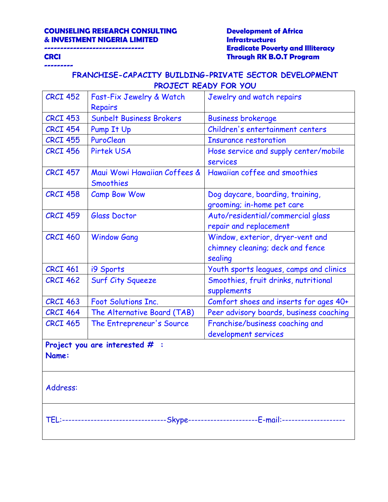**---------**

# **------------------------------- Eradicate Poverty and Illiteracy CRCI Through RK B.O.T Program**

| <b>CRCI 452</b>                           | Fast-Fix Jewelry & Watch                  | Jewelry and watch repairs                                                                |  |  |
|-------------------------------------------|-------------------------------------------|------------------------------------------------------------------------------------------|--|--|
|                                           | <b>Repairs</b>                            |                                                                                          |  |  |
| <b>CRCI 453</b>                           | Sunbelt Business Brokers                  | <b>Business brokerage</b>                                                                |  |  |
| <b>CRCI 454</b>                           | Pump It Up                                | Children's entertainment centers                                                         |  |  |
| <b>CRCI 455</b>                           | PuroClean                                 | <b>Insurance restoration</b>                                                             |  |  |
| <b>CRCI 456</b>                           | <b>Pirtek USA</b>                         | Hose service and supply center/mobile<br>services                                        |  |  |
| <b>CRCI 457</b>                           | Maui Wowi Hawaiian Coffees &<br>Smoothies | Hawaiian coffee and smoothies                                                            |  |  |
| <b>CRCI 458</b>                           | <b>Camp Bow Wow</b>                       | Dog daycare, boarding, training,<br>grooming; in-home pet care                           |  |  |
| <b>CRCI 459</b>                           | <b>Glass Doctor</b>                       | Auto/residential/commercial glass<br>repair and replacement                              |  |  |
| <b>CRCT 460</b>                           | <b>Window Gang</b>                        | Window, exterior, dryer-vent and<br>chimney cleaning; deck and fence<br>sealing          |  |  |
| <b>CRCI 461</b>                           | i9 Sports                                 | Youth sports leagues, camps and clinics                                                  |  |  |
| <b>CRCI 462</b>                           | <b>Surf City Squeeze</b>                  | Smoothies, fruit drinks, nutritional<br>supplements                                      |  |  |
| <b>CRCI 463</b>                           | <b>Foot Solutions Inc.</b>                | Comfort shoes and inserts for ages 40+                                                   |  |  |
| <b>CRCI 464</b>                           | The Alternative Board (TAB)               | Peer advisory boards, business coaching                                                  |  |  |
| <b>CRCI 465</b>                           | The Entrepreneur's Source                 | Franchise/business coaching and<br>development services                                  |  |  |
| Project you are interested $#$ :<br>Name: |                                           |                                                                                          |  |  |
| Address:                                  |                                           |                                                                                          |  |  |
|                                           |                                           | TEL:--------------------------------Skype---------------------E-mail:------------------- |  |  |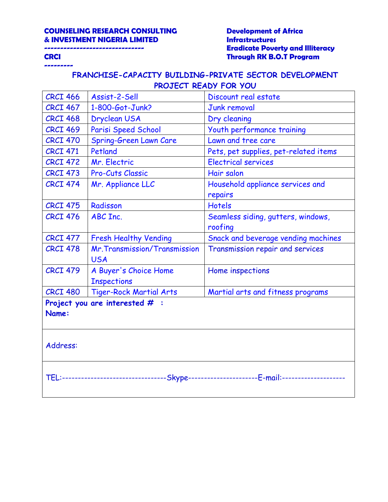**---------**

# **------------------------------- Eradicate Poverty and Illiteracy CRCI Through RK B.O.T Program**

| <b>CRCI 466</b>                                                                        | Assist-2-Sell                  | Discount real estate                  |  |  |
|----------------------------------------------------------------------------------------|--------------------------------|---------------------------------------|--|--|
| <b>CRCI 467</b>                                                                        | 1-800-Got-Junk?                | <b>Junk removal</b>                   |  |  |
| <b>CRCI 468</b>                                                                        | <b>Dryclean USA</b>            | Dry cleaning                          |  |  |
| <b>CRCI 469</b>                                                                        | Parisi Speed School            | Youth performance training            |  |  |
| <b>CRCI 470</b>                                                                        | <b>Spring-Green Lawn Care</b>  | Lawn and tree care                    |  |  |
| <b>CRCI 471</b>                                                                        | Petland                        | Pets, pet supplies, pet-related items |  |  |
| <b>CRCI 472</b>                                                                        | Mr. Electric                   | <b>Electrical services</b>            |  |  |
| <b>CRCI 473</b>                                                                        | Pro-Cuts Classic               | Hair salon                            |  |  |
| <b>CRCI 474</b>                                                                        | Mr. Appliance LLC              | Household appliance services and      |  |  |
|                                                                                        |                                | repairs                               |  |  |
| <b>CRCI 475</b>                                                                        | Radisson                       | <b>Hotels</b>                         |  |  |
| <b>CRCI 476</b>                                                                        | ABC Inc.                       | Seamless siding, gutters, windows,    |  |  |
|                                                                                        |                                | roofing                               |  |  |
| <b>CRCI 477</b>                                                                        | <b>Fresh Healthy Vending</b>   | Snack and beverage vending machines   |  |  |
| <b>CRCI 478</b>                                                                        | Mr. Transmission/Transmission  | Transmission repair and services      |  |  |
|                                                                                        | <b>USA</b>                     |                                       |  |  |
| <b>CRCI 479</b>                                                                        | A Buyer's Choice Home          | Home inspections                      |  |  |
|                                                                                        | <b>Inspections</b>             |                                       |  |  |
| <b>CRCI 480</b>                                                                        | <b>Tiger-Rock Martial Arts</b> | Martial arts and fitness programs     |  |  |
| Project you are interested $#$ :                                                       |                                |                                       |  |  |
| Name:                                                                                  |                                |                                       |  |  |
|                                                                                        |                                |                                       |  |  |
|                                                                                        |                                |                                       |  |  |
| Address:                                                                               |                                |                                       |  |  |
|                                                                                        |                                |                                       |  |  |
|                                                                                        |                                |                                       |  |  |
| TEL:-------------------------------Skype---------------------E-mail:------------------ |                                |                                       |  |  |
|                                                                                        |                                |                                       |  |  |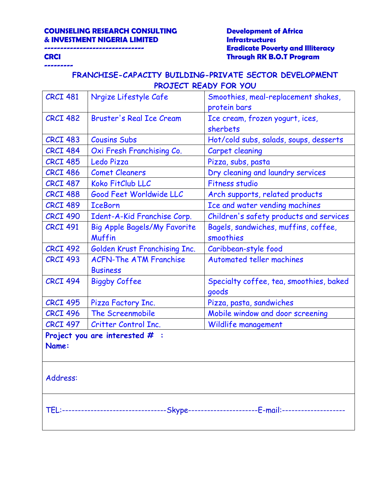**---------**

# **------------------------------- Eradicate Poverty and Illiteracy CRCI Through RK B.O.T Program**

| <b>CRCI 481</b>                                                                          | Nrgize Lifestyle Cafe           | Smoothies, meal-replacement shakes,     |  |  |
|------------------------------------------------------------------------------------------|---------------------------------|-----------------------------------------|--|--|
|                                                                                          |                                 | protein bars                            |  |  |
| <b>CRCI 482</b>                                                                          | <b>Bruster's Real Ice Cream</b> | Ice cream, frozen yogurt, ices,         |  |  |
|                                                                                          |                                 | sherbets                                |  |  |
| <b>CRCI 483</b>                                                                          | <b>Cousins Subs</b>             | Hot/cold subs, salads, soups, desserts  |  |  |
| <b>CRCI 484</b>                                                                          | Oxi Fresh Franchising Co.       | Carpet cleaning                         |  |  |
| <b>CRCI 485</b>                                                                          | Ledo Pizza                      | Pizza, subs, pasta                      |  |  |
| <b>CRCI 486</b>                                                                          | <b>Comet Cleaners</b>           | Dry cleaning and laundry services       |  |  |
| <b>CRCI 487</b>                                                                          | Koko FitClub LLC                | <b>Fitness studio</b>                   |  |  |
| <b>CRCI 488</b>                                                                          | Good Feet Worldwide LLC         | Arch supports, related products         |  |  |
| <b>CRCI 489</b>                                                                          | <b>IceBorn</b>                  | Ice and water vending machines          |  |  |
| <b>CRCI 490</b>                                                                          | Ident-A-Kid Franchise Corp.     | Children's safety products and services |  |  |
| <b>CRCI 491</b>                                                                          | Big Apple Bagels/My Favorite    | Bagels, sandwiches, muffins, coffee,    |  |  |
|                                                                                          | Muffin                          | smoothies                               |  |  |
| <b>CRCI 492</b>                                                                          | Golden Krust Franchising Inc.   | Caribbean-style food                    |  |  |
| <b>CRCI 493</b>                                                                          | <b>ACFN-The ATM Franchise</b>   | <b>Automated teller machines</b>        |  |  |
|                                                                                          | <b>Business</b>                 |                                         |  |  |
| <b>CRCI 494</b>                                                                          | <b>Biggby Coffee</b>            | Specialty coffee, tea, smoothies, baked |  |  |
|                                                                                          |                                 | goods                                   |  |  |
| <b>CRCI 495</b>                                                                          | Pizza Factory Inc.              | Pizza, pasta, sandwiches                |  |  |
| <b>CRCI 496</b>                                                                          | The Screenmobile                | Mobile window and door screening        |  |  |
| <b>CRCI 497</b>                                                                          | Critter Control Inc.            | Wildlife management                     |  |  |
| Project you are interested $#$ :                                                         |                                 |                                         |  |  |
| Name:                                                                                    |                                 |                                         |  |  |
|                                                                                          |                                 |                                         |  |  |
|                                                                                          |                                 |                                         |  |  |
| Address:                                                                                 |                                 |                                         |  |  |
|                                                                                          |                                 |                                         |  |  |
|                                                                                          |                                 |                                         |  |  |
| TEL:--------------------------------Skype---------------------E-mail:------------------- |                                 |                                         |  |  |
|                                                                                          |                                 |                                         |  |  |